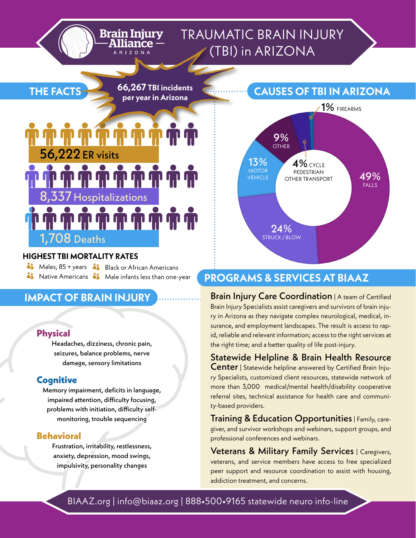### TRAUMATIC BRAIN INJURY (TBI) in ARIZONA

**66,267 TBI incidents per year in Arizona**

**Brain Injury** 

# 56,222ER visits 8,337 Hospitalizations

#### **HIGHEST TBI MORTALITY RATES**

 $1,708$  Deaths

**i** Males, 85 + years **o** Black or African Americans

**i** Native Americans **i** Male infants less than one-year

#### **IMPACT OF BRAIN INJURY**

#### **Physical**

**THE FACTS**

Headaches, dizziness, chronic pain, seizures, balance problems, nerve damage, sensory limitations

#### **Cognitive**

Memory impairment, deficits in language, impaired attention, difficulty focusing, problems with initiation, difficulty selfmonitoring, trouble sequencing

#### **Behavioral**

Frustration, irritability, restlessness, anxiety, depression, mood swings, impulsivity, personality changes



#### **PROGRAMS & SERVICES AT BIAAZ**

**Brain Injury Care Coordination** | A team of Certified Brain Injury Specialists assist caregivers and survivors of brain injury in Arizona as they navigate complex neurological, medical, insurance, and employment landscapes. The result is access to rapid, reliable and relevant information; access to the right services at the right time; and a better quality of life post-injury.

Statewide Helpline & Brain Health Resource **Center** | Statewide helpline answered by Certified Brain Injury Specialists, customized client resources, statewide network of more than 3,000 medical/mental health/disability cooperative referral sites, technical assistance for health care and community-based providers.

**Training & Education Opportunities** | Family, caregiver, and survivor workshops and webinars, support groups, and professional conferences and webinars.

Veterans & Military Family Services | Caregivers, veterans, and service members have access to free specialized peer support and resource coordination to assist with housing, addiction treatment, and concerns.

BIAAZ.org | info@biaaz.org | 888•500•9165 statewide neuro info-line